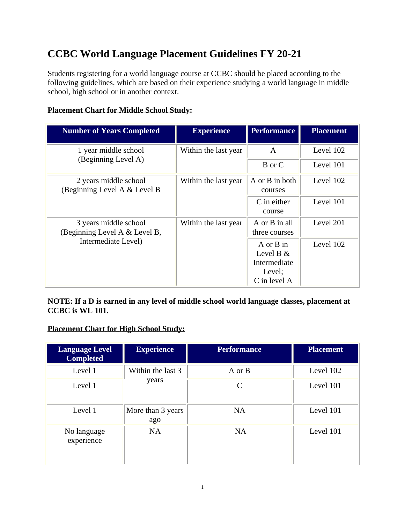# **CCBC World Language Placement Guidelines FY 20-21**

Students registering for a world language course at CCBC should be placed according to the following guidelines, which are based on their experience studying a world language in middle school, high school or in another context.

# **Placement Chart for Middle School Study:**

| <b>Number of Years Completed</b>                                              | <b>Experience</b>    | <b>Performance</b>                                                     | <b>Placement</b> |
|-------------------------------------------------------------------------------|----------------------|------------------------------------------------------------------------|------------------|
| 1 year middle school<br>(Beginning Level A)                                   | Within the last year | $\mathsf{A}$                                                           | Level 102        |
|                                                                               |                      | B or C                                                                 | Level 101        |
| 2 years middle school<br>(Beginning Level A $&$ Level B                       | Within the last year | A or B in both<br>courses                                              | Level 102        |
|                                                                               |                      | C in either<br>course                                                  | Level 101        |
| 3 years middle school<br>(Beginning Level A & Level B,<br>Intermediate Level) | Within the last year | A or B in all<br>three courses                                         | Level 201        |
|                                                                               |                      | $A$ or $B$ in<br>Level B $&$<br>Intermediate<br>Level;<br>C in level A | Level 102        |

**NOTE: If a D is earned in any level of middle school world language classes, placement at CCBC is WL 101.** 

# **Placement Chart for High School Study:**

| <b>Language Level</b><br><b>Completed</b> | <b>Experience</b>          | <b>Performance</b> | <b>Placement</b> |
|-------------------------------------------|----------------------------|--------------------|------------------|
| Level 1                                   | Within the last 3<br>years | A or B             | Level 102        |
| Level 1                                   |                            | $\mathcal{C}$      | Level 101        |
| Level 1                                   | More than 3 years<br>ago   | <b>NA</b>          | Level 101        |
| No language<br>experience                 | <b>NA</b>                  | <b>NA</b>          | Level 101        |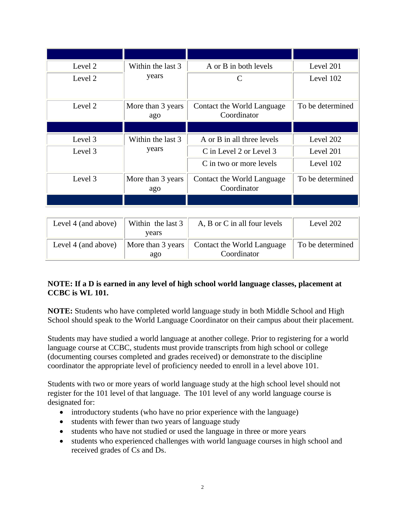| Level 2 | Within the last 3        | A or B in both levels                     | Level 201        |
|---------|--------------------------|-------------------------------------------|------------------|
| Level 2 | years                    | C                                         | Level 102        |
| Level 2 | More than 3 years<br>ago | Contact the World Language<br>Coordinator | To be determined |
|         |                          |                                           |                  |
| Level 3 | Within the last 3        | A or B in all three levels                | Level 202        |
| Level 3 | years                    | C in Level 2 or Level 3                   | Level 201        |
|         |                          | C in two or more levels                   | Level 102        |
| Level 3 | More than 3 years<br>ago | Contact the World Language<br>Coordinator | To be determined |
|         |                          |                                           |                  |

| Level 4 (and above) | Within the last 3        | A, B or C in all four levels              | Level 202        |
|---------------------|--------------------------|-------------------------------------------|------------------|
|                     | years                    |                                           |                  |
| Level 4 (and above) | More than 3 years<br>ago | Contact the World Language<br>Coordinator | To be determined |

# **NOTE: If a D is earned in any level of high school world language classes, placement at CCBC is WL 101.**

**NOTE:** Students who have completed world language study in both Middle School and High School should speak to the World Language Coordinator on their campus about their placement.

Students may have studied a world language at another college. Prior to registering for a world language course at CCBC, students must provide transcripts from high school or college (documenting courses completed and grades received) or demonstrate to the discipline coordinator the appropriate level of proficiency needed to enroll in a level above 101.

Students with two or more years of world language study at the high school level should not register for the 101 level of that language. The 101 level of any world language course is designated for:

- introductory students (who have no prior experience with the language)
- students with fewer than two years of language study
- students who have not studied or used the language in three or more years
- students who experienced challenges with world language courses in high school and received grades of Cs and Ds.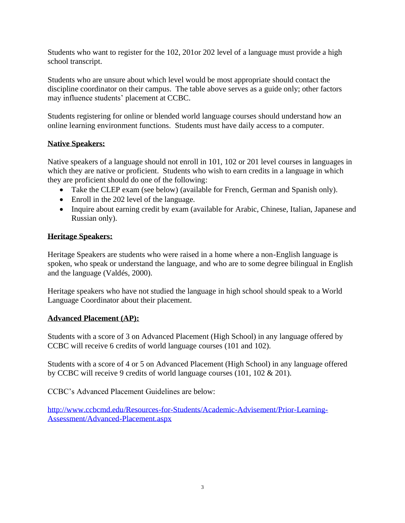Students who want to register for the 102, 201or 202 level of a language must provide a high school transcript.

Students who are unsure about which level would be most appropriate should contact the discipline coordinator on their campus. The table above serves as a guide only; other factors may influence students' placement at CCBC.

Students registering for online or blended world language courses should understand how an online learning environment functions. Students must have daily access to a computer.

### **Native Speakers:**

Native speakers of a language should not enroll in 101, 102 or 201 level courses in languages in which they are native or proficient. Students who wish to earn credits in a language in which they are proficient should do one of the following:

- Take the CLEP exam (see below) (available for French, German and Spanish only).
- Enroll in the 202 level of the language.
- Inquire about earning credit by exam (available for Arabic, Chinese, Italian, Japanese and Russian only).

### **Heritage Speakers:**

Heritage Speakers are students who were raised in a home where a non-English language is spoken, who speak or understand the language, and who are to some degree bilingual in English and the language (Valdés, 2000).

Heritage speakers who have not studied the language in high school should speak to a World Language Coordinator about their placement.

#### **Advanced Placement (AP):**

Students with a score of 3 on Advanced Placement (High School) in any language offered by CCBC will receive 6 credits of world language courses (101 and 102).

Students with a score of 4 or 5 on Advanced Placement (High School) in any language offered by CCBC will receive 9 credits of world language courses (101, 102 & 201).

CCBC's Advanced Placement Guidelines are below:

[http://www.ccbcmd.edu/Resources-for-Students/Academic-Advisement/Prior-Learning-](http://www.ccbcmd.edu/Resources-for-Students/Academic-Advisement/Prior-Learning-Assessment/Advanced-Placement.aspx)[Assessment/Advanced-Placement.aspx](http://www.ccbcmd.edu/Resources-for-Students/Academic-Advisement/Prior-Learning-Assessment/Advanced-Placement.aspx)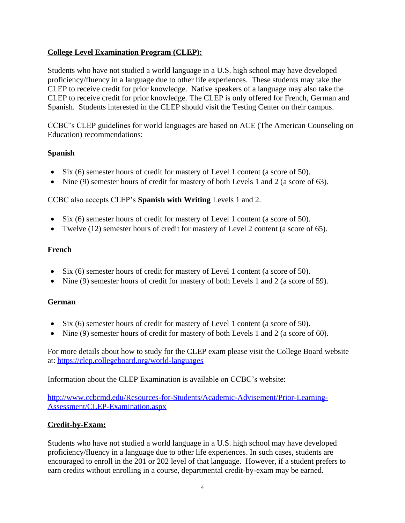## **College Level Examination Program (CLEP):**

Students who have not studied a world language in a U.S. high school may have developed proficiency/fluency in a language due to other life experiences. These students may take the CLEP to receive credit for prior knowledge. Native speakers of a language may also take the CLEP to receive credit for prior knowledge. The CLEP is only offered for French, German and Spanish. Students interested in the CLEP should visit the Testing Center on their campus.

CCBC's CLEP guidelines for world languages are based on ACE (The American Counseling on Education) recommendations:

### **Spanish**

- Six (6) semester hours of credit for mastery of Level 1 content (a score of 50).
- Nine (9) semester hours of credit for mastery of both Levels 1 and 2 (a score of 63).

### CCBC also accepts CLEP's **Spanish with Writing** Levels 1 and 2.

- Six (6) semester hours of credit for mastery of Level 1 content (a score of 50).
- Twelve (12) semester hours of credit for mastery of Level 2 content (a score of 65).

#### **French**

- Six (6) semester hours of credit for mastery of Level 1 content (a score of 50).
- Nine (9) semester hours of credit for mastery of both Levels 1 and 2 (a score of 59).

#### **German**

- Six (6) semester hours of credit for mastery of Level 1 content (a score of 50).
- Nine (9) semester hours of credit for mastery of both Levels 1 and 2 (a score of 60).

For more details about how to study for the CLEP exam please visit the College Board website at: <https://clep.collegeboard.org/world-languages>

Information about the CLEP Examination is available on CCBC's website:

[http://www.ccbcmd.edu/Resources-for-Students/Academic-Advisement/Prior-Learning-](http://www.ccbcmd.edu/Resources-for-Students/Academic-Advisement/Prior-Learning-Assessment/CLEP-Examination.aspx)[Assessment/CLEP-Examination.aspx](http://www.ccbcmd.edu/Resources-for-Students/Academic-Advisement/Prior-Learning-Assessment/CLEP-Examination.aspx)

#### **Credit-by-Exam:**

Students who have not studied a world language in a U.S. high school may have developed proficiency/fluency in a language due to other life experiences. In such cases, students are encouraged to enroll in the 201 or 202 level of that language. However, if a student prefers to earn credits without enrolling in a course, departmental credit-by-exam may be earned.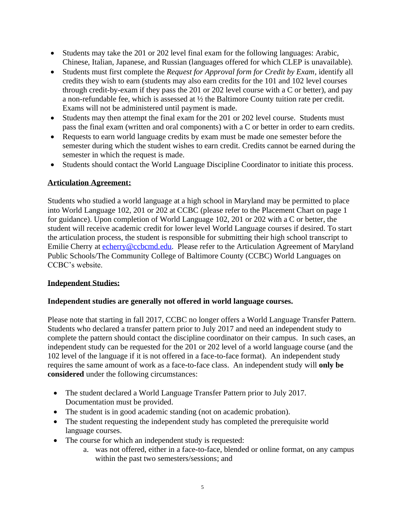- Students may take the 201 or 202 level final exam for the following languages: Arabic, Chinese, Italian, Japanese, and Russian (languages offered for which CLEP is unavailable).
- Students must first complete the *Request for Approval form for Credit by Exam*, identify all credits they wish to earn (students may also earn credits for the 101 and 102 level courses through credit-by-exam if they pass the 201 or 202 level course with a C or better), and pay a non-refundable fee, which is assessed at ½ the Baltimore County tuition rate per credit. Exams will not be administered until payment is made.
- Students may then attempt the final exam for the 201 or 202 level course. Students must pass the final exam (written and oral components) with a C or better in order to earn credits.
- Requests to earn world language credits by exam must be made one semester before the semester during which the student wishes to earn credit. Credits cannot be earned during the semester in which the request is made.
- Students should contact the World Language Discipline Coordinator to initiate this process.

# **Articulation Agreement:**

Students who studied a world language at a high school in Maryland may be permitted to place into World Language 102, 201 or 202 at CCBC (please refer to the Placement Chart on page 1 for guidance). Upon completion of World Language 102, 201 or 202 with a C or better, the student will receive academic credit for lower level World Language courses if desired. To start the articulation process, the student is responsible for submitting their high school transcript to Emilie Cherry at [echerry@ccbcmd.edu.](mailto:echerry@ccbcmd.edu) Please refer to the Articulation Agreement of Maryland Public Schools/The Community College of Baltimore County (CCBC) World Languages on CCBC's website.

## **Independent Studies:**

## **Independent studies are generally not offered in world language courses.**

Please note that starting in fall 2017, CCBC no longer offers a World Language Transfer Pattern. Students who declared a transfer pattern prior to July 2017 and need an independent study to complete the pattern should contact the discipline coordinator on their campus. In such cases, an independent study can be requested for the 201 or 202 level of a world language course (and the 102 level of the language if it is not offered in a face-to-face format). An independent study requires the same amount of work as a face-to-face class. An independent study will **only be considered** under the following circumstances:

- The student declared a World Language Transfer Pattern prior to July 2017. Documentation must be provided.
- The student is in good academic standing (not on academic probation).
- The student requesting the independent study has completed the prerequisite world language courses.
- The course for which an independent study is requested:
	- a. was not offered, either in a face-to-face, blended or online format, on any campus within the past two semesters/sessions; and